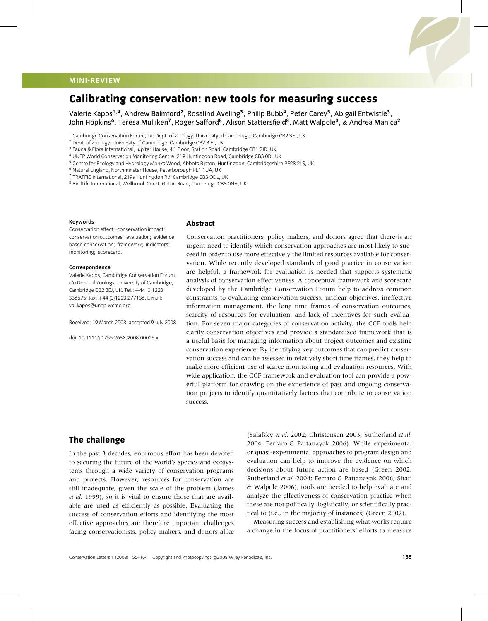# **MINI-REVIEW**

# **Calibrating conservation: new tools for measuring success**

Valerie Kapos**<sup>1</sup>***,***<sup>4</sup>**, Andrew Balmford**<sup>2</sup>**, Rosalind Aveling**<sup>3</sup>**, Philip Bubb**<sup>4</sup>**, Peter Carey**<sup>5</sup>**, Abigail Entwistle**<sup>3</sup>**, John Hopkins**<sup>6</sup>**, Teresa Mulliken**<sup>7</sup>**, Roger Safford**<sup>8</sup>**, Alison Stattersfield**<sup>8</sup>**, Matt Walpole**<sup>3</sup>**, & Andrea Manica**<sup>2</sup>**

<sup>2</sup> Dept. of Zoology, University of Cambridge, Cambridge CB2 3 EJ, UK

<sup>6</sup> Natural England, Northminster House, Peterborough PE1 1UA, UK

<sup>8</sup> BirdLife International, Wellbrook Court, Girton Road, Cambridge CB3 0NA, UK

#### **Keywords**

Conservation effect; conservation impact; conservation outcomes; evaluation; evidence based conservation; framework; indicators; monitoring; scorecard.

#### **Correspondence**

Valerie Kapos, Cambridge Conservation Forum, c/o Dept. of Zoology, University of Cambridge, Cambridge CB2 3EJ, UK. Tel.: +44 (0)1223 336675; fax: +44 (0)1223 277136. E-mail: val.kapos@unep-wcmc.org

Received: 19 March 2008; accepted 9 July 2008.

doi: 10.1111/j.1755-263X.2008.00025.x

#### **Abstract**

Conservation practitioners, policy makers, and donors agree that there is an urgent need to identify which conservation approaches are most likely to succeed in order to use more effectively the limited resources available for conservation. While recently developed standards of good practice in conservation are helpful, a framework for evaluation is needed that supports systematic analysis of conservation effectiveness. A conceptual framework and scorecard developed by the Cambridge Conservation Forum help to address common constraints to evaluating conservation success: unclear objectives, ineffective information management, the long time frames of conservation outcomes, scarcity of resources for evaluation, and lack of incentives for such evaluation. For seven major categories of conservation activity, the CCF tools help clarify conservation objectives and provide a standardized framework that is a useful basis for managing information about project outcomes and existing conservation experience. By identifying key outcomes that can predict conservation success and can be assessed in relatively short time frames, they help to make more efficient use of scarce monitoring and evaluation resources. With wide application, the CCF framework and evaluation tool can provide a powerful platform for drawing on the experience of past and ongoing conservation projects to identify quantitatively factors that contribute to conservation success.

#### **The challenge**

In the past 3 decades, enormous effort has been devoted to securing the future of the world's species and ecosystems through a wide variety of conservation programs and projects. However, resources for conservation are still inadequate, given the scale of the problem (James *et al.* 1999), so it is vital to ensure those that are available are used as efficiently as possible. Evaluating the success of conservation efforts and identifying the most effective approaches are therefore important challenges facing conservationists, policy makers, and donors alike

(Salafsky *et al.* 2002; Christensen 2003; Sutherland *et al.* 2004; Ferraro & Pattanayak 2006). While experimental or quasi-experimental approaches to program design and evaluation can help to improve the evidence on which decisions about future action are based (Green 2002; Sutherland *et al.* 2004; Ferraro & Pattanayak 2006; Sitati & Walpole 2006), tools are needed to help evaluate and analyze the effectiveness of conservation practice when these are not politically, logistically, or scientifically practical to (i.e., in the majority of instances; (Green 2002).

Measuring success and establishing what works require a change in the focus of practitioners' efforts to measure

<sup>1</sup> Cambridge Conservation Forum, c/o Dept. of Zoology, University of Cambridge, Cambridge CB2 3EJ, UK

<sup>&</sup>lt;sup>3</sup> Fauna & Flora International, Jupiter House, 4<sup>th</sup> Floor, Station Road, Cambridge CB1 2JD, UK

<sup>4</sup> UNEP World Conservation Monitoring Centre, 219 Huntingdon Road, Cambridge CB3 0DL UK

<sup>5</sup> Centre for Ecology and Hydrology Monks Wood, Abbots Ripton, Huntingdon, Cambridgeshire PE28 2LS, UK

<sup>7</sup> TRAFFIC International, 219a Huntingdon Rd, Cambridge CB3 ODL, UK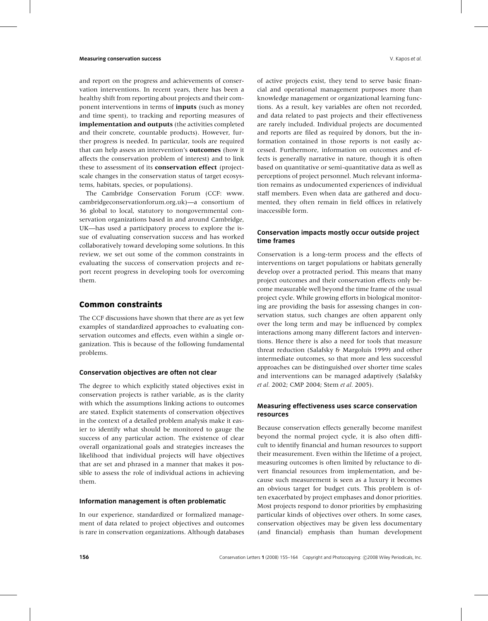and report on the progress and achievements of conservation interventions. In recent years, there has been a healthy shift from reporting about projects and their component interventions in terms of **inputs** (such as money and time spent), to tracking and reporting measures of **implementation and outputs** (the activities completed and their concrete, countable products). However, further progress is needed. In particular, tools are required that can help assess an intervention's **outcomes** (how it affects the conservation problem of interest) and to link these to assessment of its **conservation effect** (projectscale changes in the conservation status of target ecosystems, habitats, species, or populations).

The Cambridge Conservation Forum (CCF: www. cambridgeconservationforum.org.uk)—a consortium of 36 global to local, statutory to nongovernmental conservation organizations based in and around Cambridge, UK—has used a participatory process to explore the issue of evaluating conservation success and has worked collaboratively toward developing some solutions. In this review, we set out some of the common constraints in evaluating the success of conservation projects and report recent progress in developing tools for overcoming them.

#### **Common constraints**

The CCF discussions have shown that there are as yet few examples of standardized approaches to evaluating conservation outcomes and effects, even within a single organization. This is because of the following fundamental problems.

#### **Conservation objectives are often not clear**

The degree to which explicitly stated objectives exist in conservation projects is rather variable, as is the clarity with which the assumptions linking actions to outcomes are stated. Explicit statements of conservation objectives in the context of a detailed problem analysis make it easier to identify what should be monitored to gauge the success of any particular action. The existence of clear overall organizational goals and strategies increases the likelihood that individual projects will have objectives that are set and phrased in a manner that makes it possible to assess the role of individual actions in achieving them.

#### **Information management is often problematic**

In our experience, standardized or formalized management of data related to project objectives and outcomes is rare in conservation organizations. Although databases

of active projects exist, they tend to serve basic financial and operational management purposes more than knowledge management or organizational learning functions. As a result, key variables are often not recorded, and data related to past projects and their effectiveness are rarely included. Individual projects are documented and reports are filed as required by donors, but the information contained in those reports is not easily accessed. Furthermore, information on outcomes and effects is generally narrative in nature, though it is often based on quantitative or semi-quantitative data as well as perceptions of project personnel. Much relevant information remains as undocumented experiences of individual staff members. Even when data are gathered and documented, they often remain in field offices in relatively inaccessible form.

#### **Conservation impacts mostly occur outside project time frames**

Conservation is a long-term process and the effects of interventions on target populations or habitats generally develop over a protracted period. This means that many project outcomes and their conservation effects only become measurable well beyond the time frame of the usual project cycle. While growing efforts in biological monitoring are providing the basis for assessing changes in conservation status, such changes are often apparent only over the long term and may be influenced by complex interactions among many different factors and interventions. Hence there is also a need for tools that measure threat reduction (Salafsky & Margoluis 1999) and other intermediate outcomes, so that more and less successful approaches can be distinguished over shorter time scales and interventions can be managed adaptively (Salafsky *et al.* 2002; CMP 2004; Stem *et al.* 2005).

#### **Measuring effectiveness uses scarce conservation resources**

Because conservation effects generally become manifest beyond the normal project cycle, it is also often difficult to identify financial and human resources to support their measurement. Even within the lifetime of a project, measuring outcomes is often limited by reluctance to divert financial resources from implementation, and because such measurement is seen as a luxury it becomes an obvious target for budget cuts. This problem is often exacerbated by project emphases and donor priorities. Most projects respond to donor priorities by emphasizing particular kinds of objectives over others. In some cases, conservation objectives may be given less documentary (and financial) emphasis than human development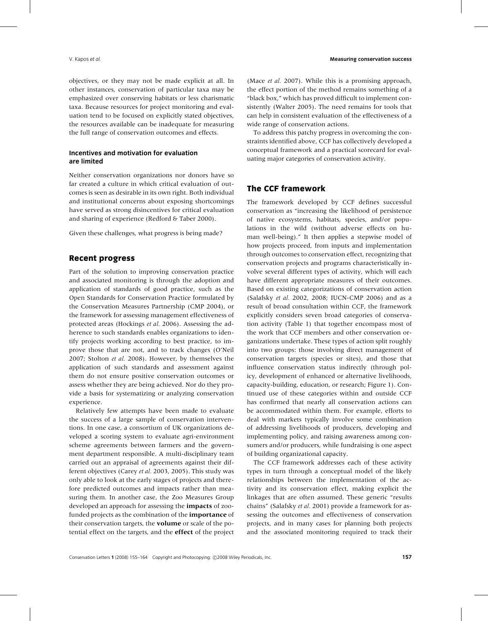objectives, or they may not be made explicit at all. In other instances, conservation of particular taxa may be emphasized over conserving habitats or less charismatic taxa. Because resources for project monitoring and evaluation tend to be focused on explicitly stated objectives, the resources available can be inadequate for measuring the full range of conservation outcomes and effects.

#### **Incentives and motivation for evaluation are limited**

Neither conservation organizations nor donors have so far created a culture in which critical evaluation of outcomes is seen as desirable in its own right. Both individual and institutional concerns about exposing shortcomings have served as strong disincentives for critical evaluation and sharing of experience (Redford & Taber 2000).

Given these challenges, what progress is being made?

### **Recent progress**

Part of the solution to improving conservation practice and associated monitoring is through the adoption and application of standards of good practice, such as the Open Standards for Conservation Practice formulated by the Conservation Measures Partnership (CMP 2004), or the framework for assessing management effectiveness of protected areas (Hockings *et al.* 2006). Assessing the adherence to such standards enables organizations to identify projects working according to best practice, to improve those that are not, and to track changes (O'Neil 2007; Stolton *et al.* 2008). However, by themselves the application of such standards and assessment against them do not ensure positive conservation outcomes or assess whether they are being achieved. Nor do they provide a basis for systematizing or analyzing conservation experience.

Relatively few attempts have been made to evaluate the success of a large sample of conservation interventions. In one case, a consortium of UK organizations developed a scoring system to evaluate agri-environment scheme agreements between farmers and the government department responsible. A multi-disciplinary team carried out an appraisal of agreements against their different objectives (Carey *et al.* 2003, 2005). This study was only able to look at the early stages of projects and therefore predicted outcomes and impacts rather than measuring them. In another case, the Zoo Measures Group developed an approach for assessing the **impacts** of zoofunded projects as the combination of the **importance** of their conservation targets, the **volume** or scale of the potential effect on the targets, and the **effect** of the project

(Mace *et al.* 2007). While this is a promising approach, the effect portion of the method remains something of a "black box," which has proved difficult to implement consistently (Walter 2005). The need remains for tools that can help in consistent evaluation of the effectiveness of a wide range of conservation actions.

To address this patchy progress in overcoming the constraints identified above, CCF has collectively developed a conceptual framework and a practical scorecard for evaluating major categories of conservation activity.

# **The CCF framework**

The framework developed by CCF defines successful conservation as "increasing the likelihood of persistence of native ecosystems, habitats, species, and/or populations in the wild (without adverse effects on human well-being)." It then applies a stepwise model of how projects proceed, from inputs and implementation through outcomes to conservation effect, recognizing that conservation projects and programs characteristically involve several different types of activity, which will each have different appropriate measures of their outcomes. Based on existing categorizations of conservation action (Salafsky *et al.* 2002, 2008; IUCN-CMP 2006) and as a result of broad consultation within CCF, the framework explicitly considers seven broad categories of conservation activity (Table 1) that together encompass most of the work that CCF members and other conservation organizations undertake. These types of action split roughly into two groups: those involving direct management of conservation targets (species or sites), and those that influence conservation status indirectly (through policy, development of enhanced or alternative livelihoods, capacity-building, education, or research; Figure 1). Continued use of these categories within and outside CCF has confirmed that nearly all conservation actions can be accommodated within them. For example, efforts to deal with markets typically involve some combination of addressing livelihoods of producers, developing and implementing policy, and raising awareness among consumers and/or producers, while fundraising is one aspect of building organizational capacity.

The CCF framework addresses each of these activity types in turn through a conceptual model of the likely relationships between the implementation of the activity and its conservation effect, making explicit the linkages that are often assumed. These generic "results chains" (Salafsky *et al.* 2001) provide a framework for assessing the outcomes and effectiveness of conservation projects, and in many cases for planning both projects and the associated monitoring required to track their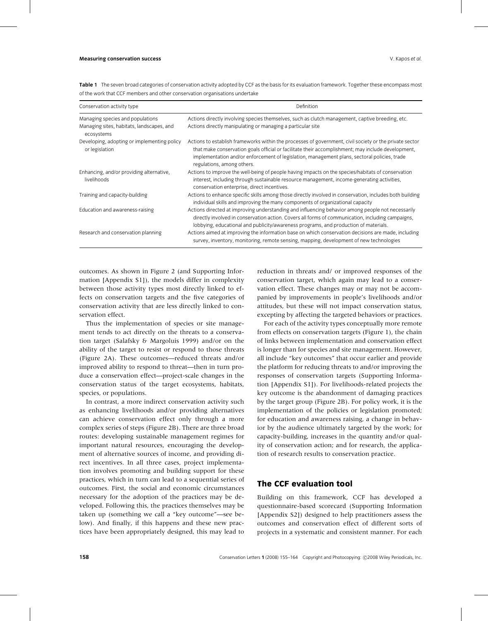| Conservation activity type                                                                  | Definition                                                                                                                                                                                                                                                                                                                                  |
|---------------------------------------------------------------------------------------------|---------------------------------------------------------------------------------------------------------------------------------------------------------------------------------------------------------------------------------------------------------------------------------------------------------------------------------------------|
| Managing species and populations<br>Managing sites, habitats, landscapes, and<br>ecosystems | Actions directly involving species themselves, such as clutch management, captive breeding, etc.<br>Actions directly manipulating or managing a particular site                                                                                                                                                                             |
| Developing, adopting or implementing policy<br>or legislation                               | Actions to establish frameworks within the processes of government, civil society or the private sector<br>that make conservation goals official or facilitate their accomplishment; may include development,<br>implementation and/or enforcement of legislation, management plans, sectoral policies, trade<br>regulations, among others. |
| Enhancing, and/or providing alternative,<br>livelihoods                                     | Actions to improve the well-being of people having impacts on the species/habitats of conservation<br>interest, including through sustainable resource management, income-generating activities,<br>conservation enterprise, direct incentives.                                                                                             |
| Training and capacity-building                                                              | Actions to enhance specific skills among those directly involved in conservation, includes both building<br>individual skills and improving the many components of organizational capacity                                                                                                                                                  |
| Education and awareness-raising                                                             | Actions directed at improving understanding and influencing behavior among people not necessarily<br>directly involved in conservation action. Covers all forms of communication, including campaigns,<br>lobbying, educational and publicity/awareness programs, and production of materials.                                              |
| Research and conservation planning                                                          | Actions aimed at improving the information base on which conservation decisions are made, including<br>survey, inventory, monitoring, remote sensing, mapping, development of new technologies                                                                                                                                              |

**Table 1** The seven broad categories of conservation activity adopted by CCF as the basis for its evaluation framework. Together these encompass most of the work that CCF members and other conservation organisations undertake

outcomes. As shown in Figure 2 (and Supporting Information [Appendix S1]), the models differ in complexity between those activity types most directly linked to effects on conservation targets and the five categories of conservation activity that are less directly linked to conservation effect.

Thus the implementation of species or site management tends to act directly on the threats to a conservation target (Salafsky & Margoluis 1999) and/or on the ability of the target to resist or respond to those threats (Figure 2A). These outcomes—reduced threats and/or improved ability to respond to threat—then in turn produce a conservation effect—project-scale changes in the conservation status of the target ecosystems, habitats, species, or populations.

In contrast, a more indirect conservation activity such as enhancing livelihoods and/or providing alternatives can achieve conservation effect only through a more complex series of steps (Figure 2B). There are three broad routes: developing sustainable management regimes for important natural resources, encouraging the development of alternative sources of income, and providing direct incentives. In all three cases, project implementation involves promoting and building support for these practices, which in turn can lead to a sequential series of outcomes. First, the social and economic circumstances necessary for the adoption of the practices may be developed. Following this, the practices themselves may be taken up (something we call a "key outcome"—see below). And finally, if this happens and these new practices have been appropriately designed, this may lead to

reduction in threats and/ or improved responses of the conservation target, which again may lead to a conservation effect. These changes may or may not be accompanied by improvements in people's livelihoods and/or attitudes, but these will not impact conservation status, excepting by affecting the targeted behaviors or practices.

For each of the activity types conceptually more remote from effects on conservation targets (Figure 1), the chain of links between implementation and conservation effect is longer than for species and site management. However, all include "key outcomes" that occur earlier and provide the platform for reducing threats to and/or improving the responses of conservation targets (Supporting Information [Appendix S1]). For livelihoods-related projects the key outcome is the abandonment of damaging practices by the target group (Figure 2B). For policy work, it is the implementation of the policies or legislation promoted; for education and awareness raising, a change in behavior by the audience ultimately targeted by the work; for capacity-building, increases in the quantity and/or quality of conservation action; and for research, the application of research results to conservation practice.

### **The CCF evaluation tool**

Building on this framework, CCF has developed a questionnaire-based scorecard (Supporting Information [Appendix S2]) designed to help practitioners assess the outcomes and conservation effect of different sorts of projects in a systematic and consistent manner. For each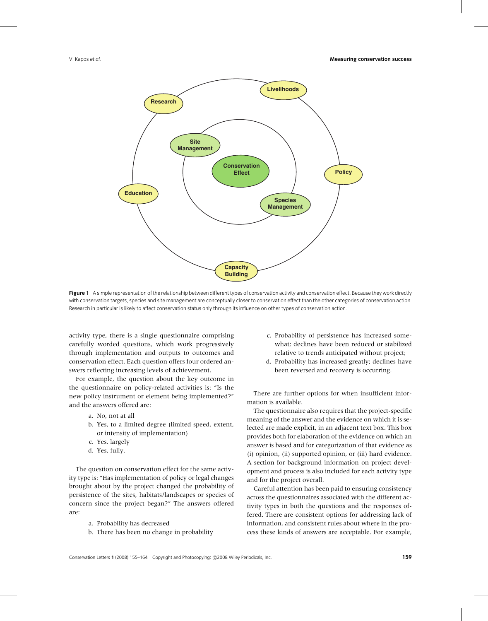

Figure 1 A simple representation of the relationship between different types of conservation activity and conservation effect. Because they work directly with conservation targets, species and site management are conceptually closer to conservation effect than the other categories of conservation action. Research in particular is likely to affect conservation status only through its influence on other types of conservation action.

activity type, there is a single questionnaire comprising carefully worded questions, which work progressively through implementation and outputs to outcomes and conservation effect. Each question offers four ordered answers reflecting increasing levels of achievement.

For example, the question about the key outcome in the questionnaire on policy-related activities is: "Is the new policy instrument or element being implemented?" and the answers offered are:

- a. No, not at all
- b. Yes, to a limited degree (limited speed, extent, or intensity of implementation)
- c. Yes, largely
- d. Yes, fully.

The question on conservation effect for the same activity type is: "Has implementation of policy or legal changes brought about by the project changed the probability of persistence of the sites, habitats/landscapes or species of concern since the project began?" The answers offered are:

- a. Probability has decreased
- b. There has been no change in probability
- c. Probability of persistence has increased somewhat; declines have been reduced or stabilized relative to trends anticipated without project;
- d. Probability has increased greatly; declines have been reversed and recovery is occurring.

There are further options for when insufficient information is available.

The questionnaire also requires that the project-specific meaning of the answer and the evidence on which it is selected are made explicit, in an adjacent text box. This box provides both for elaboration of the evidence on which an answer is based and for categorization of that evidence as (i) opinion, (ii) supported opinion, or (iii) hard evidence. A section for background information on project development and process is also included for each activity type and for the project overall.

Careful attention has been paid to ensuring consistency across the questionnaires associated with the different activity types in both the questions and the responses offered. There are consistent options for addressing lack of information, and consistent rules about where in the process these kinds of answers are acceptable. For example,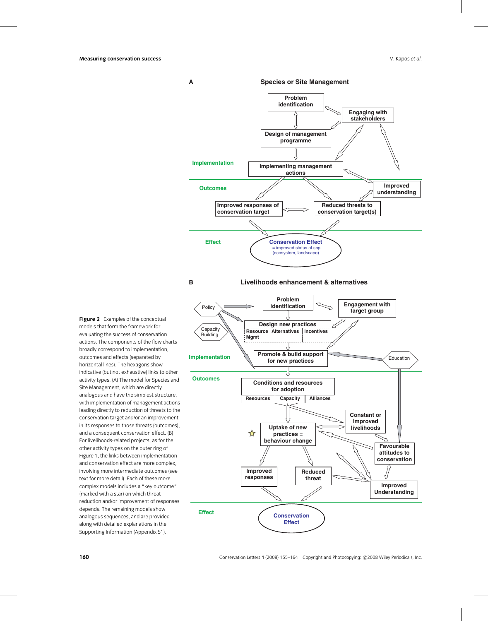**A Species or Site Management** 



**Figure 2** Examples of the conceptual models that form the framework for evaluating the success of conservation actions. The components of the flow charts broadly correspond to implementation, outcomes and effects (separated by horizontal lines). The hexagons show indicative (but not exhaustive) links to other activity types. (A) The model for Species and Site Management, which are directly analogous and have the simplest structure, with implementation of management actions leading directly to reduction of threats to the conservation target and/or an improvement in its responses to those threats (outcomes), and a consequent conservation effect. (B) For livelihoods-related projects, as for the other activity types on the outer ring of Figure 1, the links between implementation and conservation effect are more complex, involving more intermediate outcomes (see text for more detail). Each of these more complex models includes a "key outcome" (marked with a star) on which threat reduction and/or improvement of responses depends. The remaining models show analogous sequences, and are provided along with detailed explanations in the Supporting Information (Appendix S1).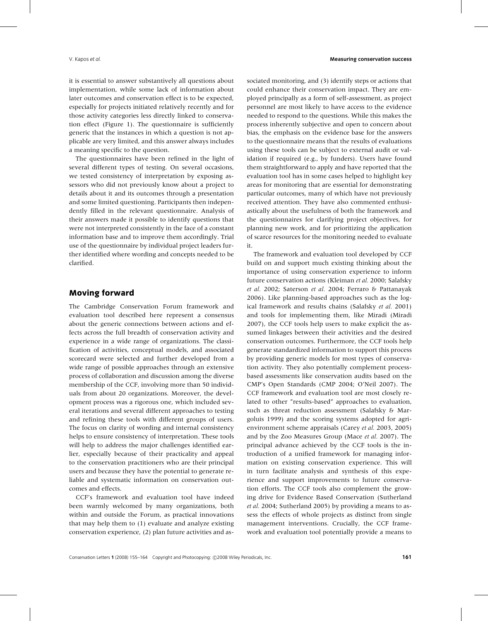it is essential to answer substantively all questions about implementation, while some lack of information about later outcomes and conservation effect is to be expected, especially for projects initiated relatively recently and for those activity categories less directly linked to conservation effect (Figure 1). The questionnaire is sufficiently generic that the instances in which a question is not applicable are very limited, and this answer always includes a meaning specific to the question.

The questionnaires have been refined in the light of several different types of testing. On several occasions, we tested consistency of interpretation by exposing assessors who did not previously know about a project to details about it and its outcomes through a presentation and some limited questioning. Participants then independently filled in the relevant questionnaire. Analysis of their answers made it possible to identify questions that were not interpreted consistently in the face of a constant information base and to improve them accordingly. Trial use of the questionnaire by individual project leaders further identified where wording and concepts needed to be clarified.

#### **Moving forward**

The Cambridge Conservation Forum framework and evaluation tool described here represent a consensus about the generic connections between actions and effects across the full breadth of conservation activity and experience in a wide range of organizations. The classification of activities, conceptual models, and associated scorecard were selected and further developed from a wide range of possible approaches through an extensive process of collaboration and discussion among the diverse membership of the CCF, involving more than 50 individuals from about 20 organizations. Moreover, the development process was a rigorous one, which included several iterations and several different approaches to testing and refining these tools with different groups of users. The focus on clarity of wording and internal consistency helps to ensure consistency of interpretation. These tools will help to address the major challenges identified earlier, especially because of their practicality and appeal to the conservation practitioners who are their principal users and because they have the potential to generate reliable and systematic information on conservation outcomes and effects.

CCF's framework and evaluation tool have indeed been warmly welcomed by many organizations, both within and outside the Forum, as practical innovations that may help them to (1) evaluate and analyze existing conservation experience, (2) plan future activities and associated monitoring, and (3) identify steps or actions that could enhance their conservation impact. They are employed principally as a form of self-assessment, as project personnel are most likely to have access to the evidence needed to respond to the questions. While this makes the process inherently subjective and open to concern about bias, the emphasis on the evidence base for the answers to the questionnaire means that the results of evaluations using these tools can be subject to external audit or validation if required (e.g., by funders). Users have found them straightforward to apply and have reported that the evaluation tool has in some cases helped to highlight key areas for monitoring that are essential for demonstrating particular outcomes, many of which have not previously received attention. They have also commented enthusiastically about the usefulness of both the framework and the questionnaires for clarifying project objectives, for planning new work, and for prioritizing the application of scarce resources for the monitoring needed to evaluate it.

The framework and evaluation tool developed by CCF build on and support much existing thinking about the importance of using conservation experience to inform future conservation actions (Kleiman *et al.* 2000; Salafsky *et al.* 2002; Saterson *et al.* 2004; Ferraro & Pattanayak 2006). Like planning-based approaches such as the logical framework and results chains (Salafsky *et al.* 2001) and tools for implementing them, like Miradi (Miradi 2007), the CCF tools help users to make explicit the assumed linkages between their activities and the desired conservation outcomes. Furthermore, the CCF tools help generate standardized information to support this process by providing generic models for most types of conservation activity. They also potentially complement processbased assessments like conservation audits based on the CMP's Open Standards (CMP 2004; O'Neil 2007). The CCF framework and evaluation tool are most closely related to other "results-based" approaches to evaluation, such as threat reduction assessment (Salafsky & Margoluis 1999) and the scoring systems adopted for agrienvironment scheme appraisals (Carey *et al.* 2003, 2005) and by the Zoo Measures Group (Mace *et al.* 2007). The principal advance achieved by the CCF tools is the introduction of a unified framework for managing information on existing conservation experience. This will in turn facilitate analysis and synthesis of this experience and support improvements to future conservation efforts. The CCF tools also complement the growing drive for Evidence Based Conservation (Sutherland *et al.* 2004; Sutherland 2005) by providing a means to assess the effects of whole projects as distinct from single management interventions. Crucially, the CCF framework and evaluation tool potentially provide a means to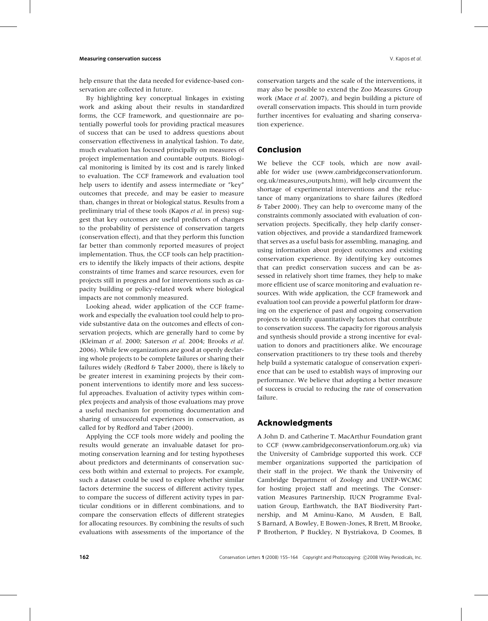help ensure that the data needed for evidence-based conservation are collected in future.

By highlighting key conceptual linkages in existing work and asking about their results in standardized forms, the CCF framework, and questionnaire are potentially powerful tools for providing practical measures of success that can be used to address questions about conservation effectiveness in analytical fashion. To date, much evaluation has focused principally on measures of project implementation and countable outputs. Biological monitoring is limited by its cost and is rarely linked to evaluation. The CCF framework and evaluation tool help users to identify and assess intermediate or "key" outcomes that precede, and may be easier to measure than, changes in threat or biological status. Results from a preliminary trial of these tools (Kapos *et al.* in press) suggest that key outcomes are useful predictors of changes to the probability of persistence of conservation targets (conservation effect), and that they perform this function far better than commonly reported measures of project implementation. Thus, the CCF tools can help practitioners to identify the likely impacts of their actions, despite constraints of time frames and scarce resources, even for projects still in progress and for interventions such as capacity building or policy-related work where biological impacts are not commonly measured.

Looking ahead, wider application of the CCF framework and especially the evaluation tool could help to provide substantive data on the outcomes and effects of conservation projects, which are generally hard to come by (Kleiman *et al.* 2000; Saterson *et al.* 2004; Brooks *et al.* 2006). While few organizations are good at openly declaring whole projects to be complete failures or sharing their failures widely (Redford & Taber 2000), there is likely to be greater interest in examining projects by their component interventions to identify more and less successful approaches. Evaluation of activity types within complex projects and analysis of those evaluations may prove a useful mechanism for promoting documentation and sharing of unsuccessful experiences in conservation, as called for by Redford and Taber (2000).

Applying the CCF tools more widely and pooling the results would generate an invaluable dataset for promoting conservation learning and for testing hypotheses about predictors and determinants of conservation success both within and external to projects. For example, such a dataset could be used to explore whether similar factors determine the success of different activity types, to compare the success of different activity types in particular conditions or in different combinations, and to compare the conservation effects of different strategies for allocating resources. By combining the results of such evaluations with assessments of the importance of the

conservation targets and the scale of the interventions, it may also be possible to extend the Zoo Measures Group work (Mace *et al.* 2007), and begin building a picture of overall conservation impacts. This should in turn provide further incentives for evaluating and sharing conserva-

### **Conclusion**

tion experience.

We believe the CCF tools, which are now available for wider use (www.cambridgeconservationforum. org.uk/measures outputs.htm), will help circumvent the shortage of experimental interventions and the reluctance of many organizations to share failures (Redford & Taber 2000). They can help to overcome many of the constraints commonly associated with evaluation of conservation projects. Specifically, they help clarify conservation objectives, and provide a standardized framework that serves as a useful basis for assembling, managing, and using information about project outcomes and existing conservation experience. By identifying key outcomes that can predict conservation success and can be assessed in relatively short time frames, they help to make more efficient use of scarce monitoring and evaluation resources. With wide application, the CCF framework and evaluation tool can provide a powerful platform for drawing on the experience of past and ongoing conservation projects to identify quantitatively factors that contribute to conservation success. The capacity for rigorous analysis and synthesis should provide a strong incentive for evaluation to donors and practitioners alike. We encourage conservation practitioners to try these tools and thereby help build a systematic catalogue of conservation experience that can be used to establish ways of improving our performance. We believe that adopting a better measure of success is crucial to reducing the rate of conservation failure.

# **Acknowledgments**

A John D. and Catherine T. MacArthur Foundation grant to CCF (www.cambridgeconservationforum.org.uk) via the University of Cambridge supported this work. CCF member organizations supported the participation of their staff in the project. We thank the University of Cambridge Department of Zoology and UNEP-WCMC for hosting project staff and meetings. The Conservation Measures Partnership, IUCN Programme Evaluation Group, Earthwatch, the BAT Biodiversity Partnership, and M Aminu-Kano, M Ausden, E Ball, S Barnard, A Bowley, E Bowen-Jones, R Brett, M Brooke, P Brotherton, P Buckley, N Bystriakova, D Coomes, B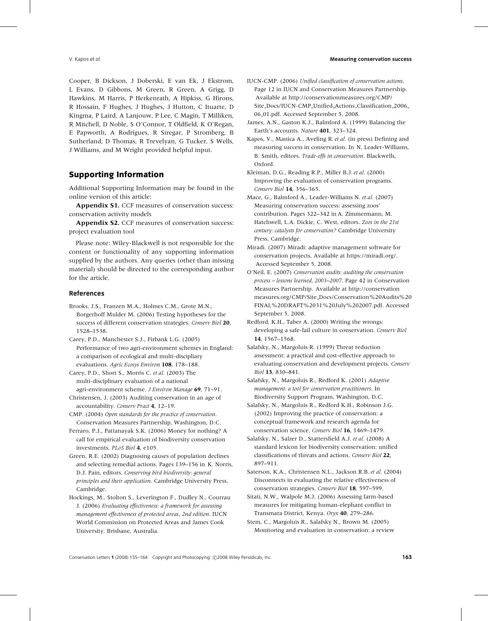Cooper, B Dickson, J Doberski, E van Ek, J Ekstrom, L Evans, D Gibbons, M Green, R Green, A Grigg, D Hawkins, M Harris, P Herkenrath, A Hipkiss, G Hirons, R Hossain, F Hughes, J Hughes, J Hutton, C Ituarte, D Kingma, P Laird, A Lanjouw, P Lee, C Magin, T Milliken, R Mitchell, D Noble, S O'Connor, T Oldfield, K O'Regan, E Papworth, A Rodrigues, R Siregar, P Stromberg, B Sutherland, D Thomas, R Trevelyan, G Tucker, S Wells, J Williams, and M Wright provided helpful input.

# **Supporting Information**

Additional Supporting Information may be found in the online version of this article:

**Appendix S1.** CCF measures of conservation success: conservation activity models

**Appendix S2.** CCF measures of conservation success: project evaluation tool

Please note: Wiley-Blackwell is not responsible for the content or functionality of any supporting information supplied by the authors. Any queries (other than missing material) should be directed to the corresponding author for the article.

#### **References**

- Brooks, J.S., Franzen M.A., Holmes C.M., Grote M.N., Borgerhoff Mulder M. (2006) Testing hypotheses for the success of different conservation strategies. *Conserv Biol* **20**, 1528–1538.
- Carey, P.D., Manchester S.J., Firbank L.G. (2005) Performance of two agri-environment schemes in England: a comparison of ecological and multi-discipliary evaluations. *Agric Ecosys Environ* **108**, 178–188.
- Carey, P.D., Short S., Morris C. *et al.* (2003) The multi-disciplinary evaluation of a national agri-environment scheme. *J Environ Manage* **69**, 71–91.
- Christensen, J. (2003) Auditing conservation in an age of accountability. *Conserv Pract* **4**, 12–19.
- CMP. (2004) *Open standards for the practice of conservation*. Conservation Measures Partnership, Washington, D.C.
- Ferraro, P.J., Pattanayak S.K. (2006) Money for nothing? A call for empirical evaluation of biodiversity conservation investments. *PLoS Biol* **4**, e105.
- Green, R.E. (2002) Diagnosing causes of population declines and selecting remedial actions. Pages 139–156 in K. Norris, D.J. Pain, editors. *Conserving bird biodiversity: general principles and their application*. Cambridge University Press, Cambridge.
- Hockings, M., Stolton S., Leverington F., Dudley N., Courrau J. (2006) *Evaluating effectiveness: a framework for assessing management effectiveness of protected areas*, *2nd edition*. IUCN World Commission on Protected Areas and James Cook University, Brisbane, Australia.
- IUCN-CMP. (2006) *Unified classification of conservation actions*. Page 12 in IUCN and Conservation Measures Partnership. Available at http://conservationmeasures.org/CMP/ Site Docs/IUCN-CMP Unified Actions Classification 2006 06 01.pdf. Accessed September 5, 2008.
- James, A.N., Gaston K.J., Balmford A. (1999) Balancing the Earth's accounts. *Nature* **401**, 323–324.
- Kapos, V., Manica A., Aveling R.*et al.* (in press) Defining and measuring success in conservation. In N. Leader-Williams, B. Smith, editors. *Trade-offs in conservation*. Blackwells, Oxford.
- Kleiman, D.G., Reading R.P., Miller B.J.*et al.* (2000) Improving the evaluation of conservation programs. *Conserv Biol* **14**, 356–365.
- Mace, G., Balmford A., Leader-Williams N. *et al.* (2007) Measuring conservation success: assessing zoos' contribution. Pages 322–342 in A. Zimmermann, M. Hatchwell, L.A. Dickie, C. West, editors. *Zoos in the 21st century: catalysts for conservation?* Cambridge University Press, Cambridge.
- Miradi. (2007) Miradi: adaptive management software for conservation projects. Available at https://miradi.org/. Accessed September 5, 2008.
- O'Neil, E. (2007) *Conservation audits: auditing the conservation process – lessons learned, 2003–2007*. Page 42 in Conservation Measures Partnership. Available at http://conservation measures.org/CMP/Site Docs/Conservation%20Audits%20 FINAL%20DRAFT%2031%20July%202007.pdf. Accessed September 5, 2008.
- Redford, K.H., Taber A. (2000) Writing the wrongs: developing a safe-fail culture in conservation. *Conserv Biol* **14**, 1567–1568.
- Salafsky, N., Margoluis R. (1999) Threat reduction assessment: a practical and cost-effective approach to evaluating conservation and development projects. *Conserv Biol* **13**, 830–841.
- Salafsky, N., Margoluis R., Redford K. (2001) *Adaptive management: a tool for conservation practitioners*. In Biodiversity Support Program, Washington, D.C.
- Salafsky, N., Margoluis R., Redford K.H., Robinson J.G. (2002) Improving the practice of conservation: a conceptual framework and research agenda for conservation science. *Conserv Biol* **16**, 1469–1479.
- Salafsky, N., Salzer D., Stattersfield A.J. *et al.* (2008) A standard lexicon for biodiversity conservation: unified classifications of threats and actions. *Conserv Biol* **22**, 897–911.
- Saterson, K.A., Christensen N.L., Jackson R.B.*et al.* (2004) Disconnects in evaluating the relative effectiveness of conservation strategies. *Conserv Biol* **18**, 597–599.
- Sitati, N.W., Walpole M.J. (2006) Assessing farm-based measures for mitigating human-elephant conflict in Transmara District, Kenya. *Oryx* **40**, 279–286.
- Stem, C., Margoluis R., Salafsky N., Brown M. (2005) Monitoring and evaluation in conservation: a review